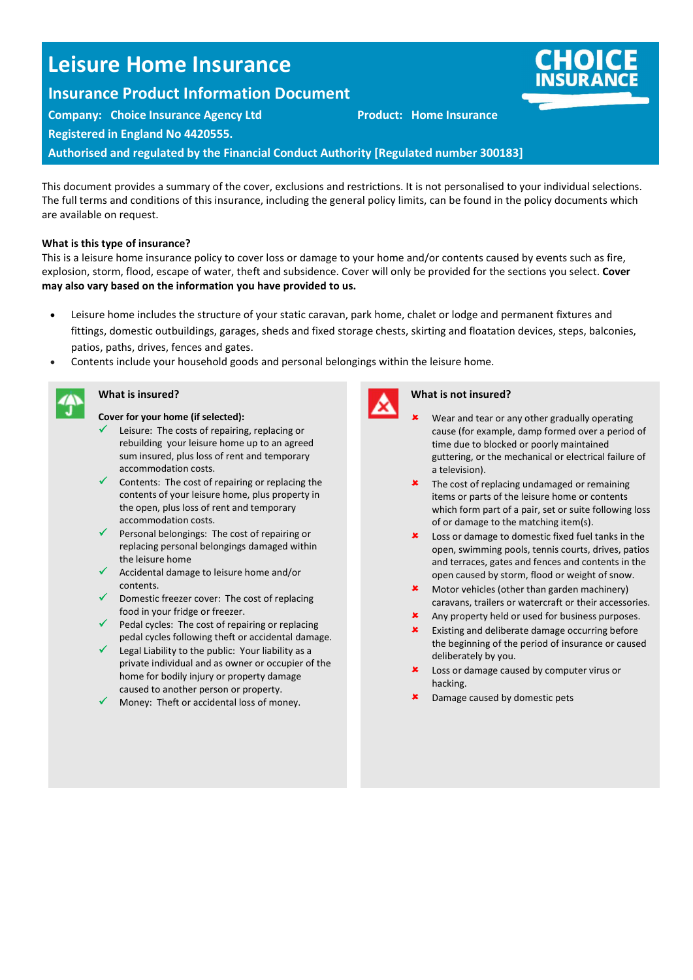# Leisure Home Insurance

## Insurance Product Information Document

Company: Choice Insurance Agency Ltd **Product: Home Insurance** 

Registered in England No 4420555.

Authorised and regulated by the Financial Conduct Authority [Regulated number 300183]

This document provides asummary of the cover, exclusions and restrictions. It is not personalised to your individual selections. The full terms and conditions of this insurance, including the general policy limits, can be found in the policy documents which are available on request.

#### What is this type of insurance?

This is a leisure home insurance policy to cover loss ordance to your home and/or contents caused by events such as fire, explosion, storm, flood, escape of water, theft and subsidence. Cover will only be provided for the sections you select. Cover may also vary based on the information you have provided to us.

- Leisure home includes the structure of your static caravan, park home, chalet or lodge and permanent fixtures and fittings, domestic outbuildings, garages, sheds and fixed storage chests, skirting and floatation devices, steps, balconies, patios, paths, drives, fences and gates.
- Contents indurleyour household goods and personal belongings within the leisure home.

Cover for your home (if selected):

What is insured?

- Leisure: The costs of repairing replacing or rebuilding your leisure home up to an agreed sum insured unsloss of rent and temporary accommodation costs.
- $\checkmark$  Contents: The cost of repairing or replacing the contents of your leisure home, plus property in the open, plus loss of rent and temporary accommodation costs.
- $\checkmark$  Resonal belongings: The cost of repairing or replacing personal belongings damaged within the leisure home
- Accidental damage to leisure home and/or contents.
- $\sqrt{\phantom{a}}$  Domestic freezer cover: The cost of replacing food in your fridge or freezer.
- $\checkmark$  Reddocks: The cost of repairing or replacing pedal cycles following theft or accidental damage.
- $\checkmark$  Legal Liability to the public: Your liability as a private individual and as owner or occupier of the home for bodily injury or property damage caused to another person or property.
- $\checkmark$  Money. Theft or accidental loss of money.



### What is not insured?

- Wear and tear or any other gradually operating cause (for example, damp formed over a period of time due to blocked or poorly maintained guttering or the mechanical or electrical failure of a television).
- $x$  The cost of replacing understandance remaining items or parts of the leisure home or contents which form part of a pair, set or suite following loss of or damage to the matching item(s).
- $x$  Loss ordange to domestic fixed fuel tanks in the open, swimming pools, tennis courts, drives, patios and tensues gates and fences and contents in the open caused by storm, flood or weight of snow.
- $*$  Motor vehicles (other than garden machinery) caravans, trailers or watercraft or their accessories.
- Any property held or used for business purposes.
- $\boldsymbol{\mathsf{x}}$  Eximendeliberate damage occurring before the beginning of the period of insurance or caused deliberately by you.
- Loss or damage caused by computer virus or **hading**
- Damage caused by domestic pets